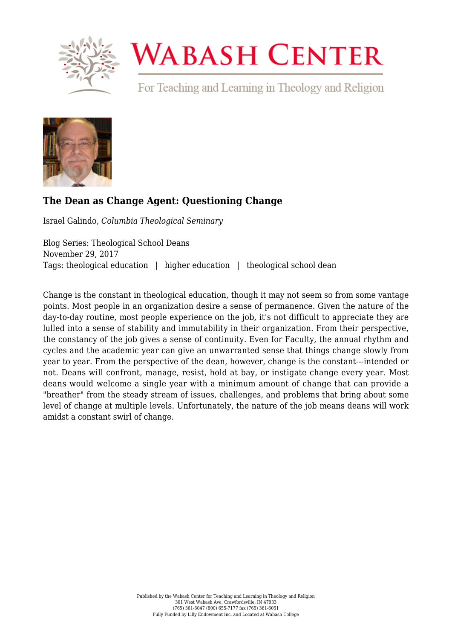

## **WABASH CENTER**

For Teaching and Learning in Theology and Religion



## **[The Dean as Change Agent: Questioning Change](https://www.wabashcenter.wabash.edu/2017/11/dean-change-agent-questioning-change/)**

Israel Galindo, *Columbia Theological Seminary*

Blog Series: Theological School Deans November 29, 2017 Tags: theological education | higher education | theological school dean

Change is the constant in theological education, though it may not seem so from some vantage points. Most people in an organization desire a sense of permanence. Given the nature of the day-to-day routine, most people experience on the job, it's not difficult to appreciate they are lulled into a sense of stability and immutability in their organization. From their perspective, the constancy of the job gives a sense of continuity. Even for Faculty, the annual rhythm and cycles and the academic year can give an unwarranted sense that things change slowly from year to year. From the perspective of the dean, however, change is the constant---intended or not. Deans will confront, manage, resist, hold at bay, or instigate change every year. Most deans would welcome a single year with a minimum amount of change that can provide a "breather" from the steady stream of issues, challenges, and problems that bring about some level of change at multiple levels. Unfortunately, the nature of the job means deans will work amidst a constant swirl of change.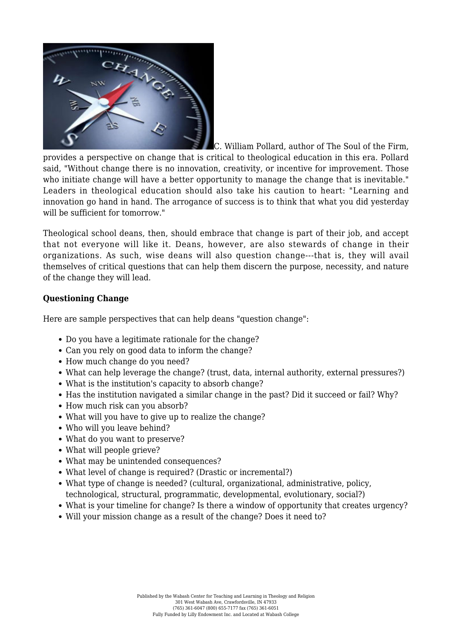

C. William Pollard, author of The Soul of the Firm, provides a perspective on change that is critical to theological education in this era. Pollard said, "Without change there is no innovation, creativity, or incentive for improvement. Those who initiate change will have a better opportunity to manage the change that is inevitable." Leaders in theological education should also take his caution to heart: "Learning and innovation go hand in hand. The arrogance of success is to think that what you did yesterday will be sufficient for tomorrow."

Theological school deans, then, should embrace that change is part of their job, and accept that not everyone will like it. Deans, however, are also stewards of change in their organizations. As such, wise deans will also question change---that is, they will avail themselves of critical questions that can help them discern the purpose, necessity, and nature of the change they will lead.

## **Questioning Change**

Here are sample perspectives that can help deans "question change":

- Do you have a legitimate rationale for the change?
- Can you rely on good data to inform the change?
- How much change do you need?
- What can help leverage the change? (trust, data, internal authority, external pressures?)
- What is the institution's capacity to absorb change?
- Has the institution navigated a similar change in the past? Did it succeed or fail? Why?
- How much risk can you absorb?
- What will you have to give up to realize the change?
- Who will you leave behind?
- What do you want to preserve?
- What will people grieve?
- What may be unintended consequences?
- What level of change is required? (Drastic or incremental?)
- What type of change is needed? (cultural, organizational, administrative, policy, technological, structural, programmatic, developmental, evolutionary, social?)
- What is your timeline for change? Is there a window of opportunity that creates urgency?
- Will your mission change as a result of the change? Does it need to?